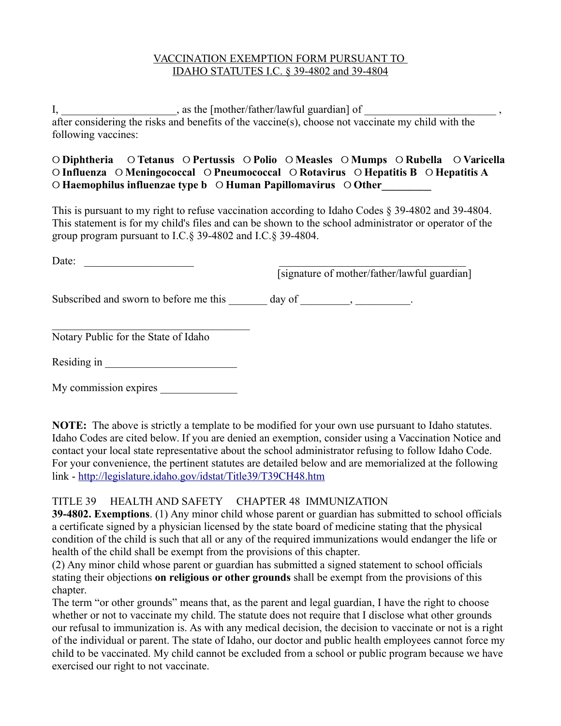## VACCINATION EXEMPTION FORM PURSUANT TO IDAHO STATUTES I.C. § 39-4802 and 39-4804

I, \_\_\_\_\_\_\_\_\_\_\_\_\_\_\_\_\_\_\_\_\_, as the [mother/father/lawful guardian] of after considering the risks and benefits of the vaccine(s), choose not vaccinate my child with the following vaccines:

## ୦ **Diphtheria** ୦ **Tetanus** ୦ **Pertussis** ୦ **Polio** ୦ **Measles** ୦ **Mumps** ୦ **Rubella** ୦ **Varicella**  ୦ **Influenza** ୦ **Meningococcal** ୦ **Pneumococcal** ୦ **Rotavirus** ୦ **Hepatitis B** ୦ **Hepatitis A**  ୦ **Haemophilus influenzae type b** ୦ **Human Papillomavirus** ୦ **Other\_\_\_\_\_\_\_\_\_**

This is pursuant to my right to refuse vaccination according to Idaho Codes § 39-4802 and 39-4804. This statement is for my child's files and can be shown to the school administrator or operator of the group program pursuant to I.C.§ 39-4802 and I.C.§ 39-4804.

| Date:                                  | [signature of mother/father/lawful guardian] |
|----------------------------------------|----------------------------------------------|
| Subscribed and sworn to before me this | $day \text{ of }$ , $\qquad \qquad$          |
| Notary Public for the State of Idaho   |                                              |
| Residing in                            |                                              |
| My commission expires                  |                                              |

**NOTE:** The above is strictly a template to be modified for your own use pursuant to Idaho statutes. Idaho Codes are cited below. If you are denied an exemption, consider using a Vaccination Notice and contact your local state representative about the school administrator refusing to follow Idaho Code. For your convenience, the pertinent statutes are detailed below and are memorialized at the following link -<http://legislature.idaho.gov/idstat/Title39/T39CH48.htm>

## TITLE 39 HEALTH AND SAFETY CHAPTER 48 IMMUNIZATION

**39-4802. Exemptions**. (1) Any minor child whose parent or guardian has submitted to school officials a certificate signed by a physician licensed by the state board of medicine stating that the physical condition of the child is such that all or any of the required immunizations would endanger the life or health of the child shall be exempt from the provisions of this chapter.

(2) Any minor child whose parent or guardian has submitted a signed statement to school officials stating their objections **on religious or other grounds** shall be exempt from the provisions of this chapter.

The term "or other grounds" means that, as the parent and legal guardian, I have the right to choose whether or not to vaccinate my child. The statute does not require that I disclose what other grounds our refusal to immunization is. As with any medical decision, the decision to vaccinate or not is a right of the individual or parent. The state of Idaho, our doctor and public health employees cannot force my child to be vaccinated. My child cannot be excluded from a school or public program because we have exercised our right to not vaccinate.